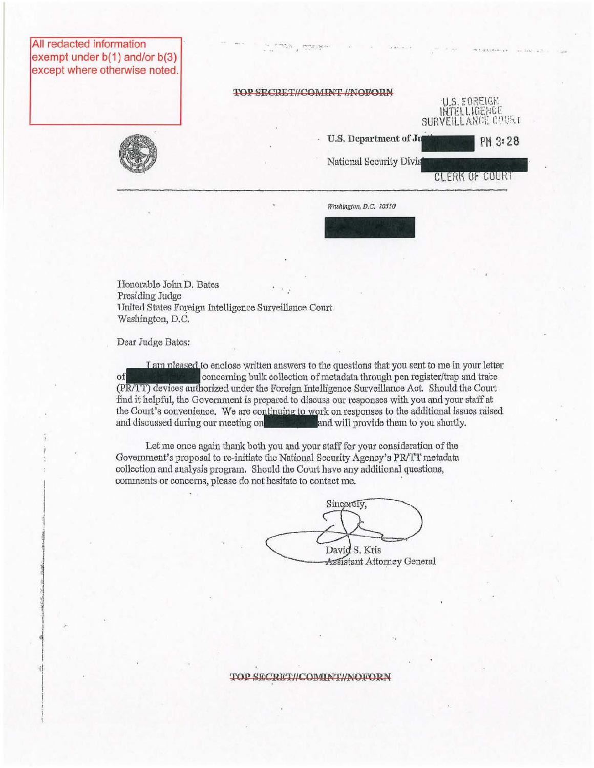All redacted information exempt under b(1) and/or b(3) except where otherwise noted.

TOP SECRET//COMINT //NOFORN

 $\mathcal{H}_\mathrm{eff}$  ,  $\mathcal{H}_\mathrm{eff}^\mathrm{eff}$ 

| TIT UTIMA MATI           | U.S. FOREIGK<br>INTELLIGENCE<br>SURVEILLANCE CRUBT |
|--------------------------|----------------------------------------------------|
| U.S. Department of Ju    | PM 3:28                                            |
| National Security Divist |                                                    |
|                          | LERK OF COURT                                      |

Washington, D.C. 20530

Honorable John D. Bates Presiding Judge United States Foreign Intelligence Surveillance Court Washington, D.C.

Dear Judge Bates:

I am pleased to enclose written answers to the questions that you sent to me in your letter of concerning bulk collection of metadata through pen register/trap and trace (PR/TT) devices authorized under the Foreign Intelligence Surveillance Act. Should the Court find it helpful, the Government is prepared to discuss our responses with you and your staff at the Court's convenience. We are continuing to work on responses to the additional issues raised and discussed during our meeting on and will provide them to you shortly.

Let me once again thank both you and your staff for your consideration of the Government's proposal to re-initiate the National Security Agency's PR/TT metadata collection and analysis program. Should the Court have any additional questions, comments or concerns, please do not hesitate to contact me.

Sincerely, David S. Kris

Assistant Attorney General

## TOP SECRET//COMINT//NOFORN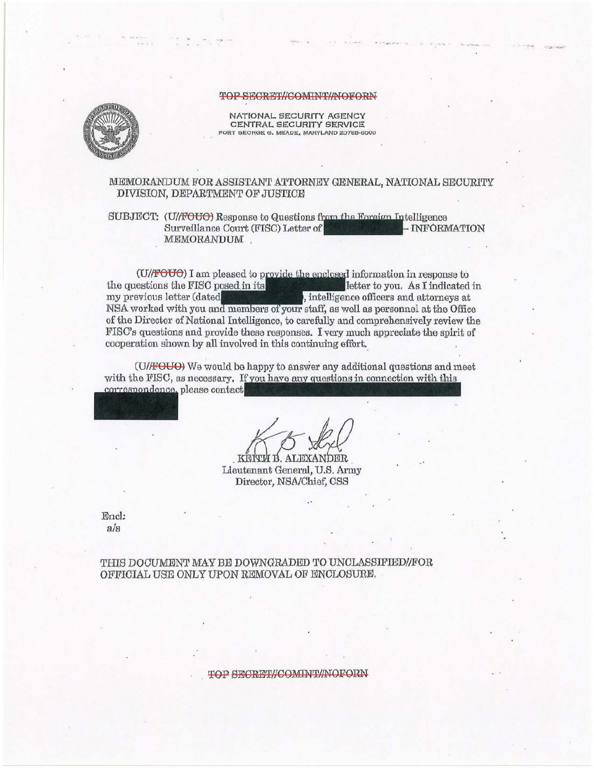## TOP SECRET//COMINT//NOFORN



NATIONAL SECURITY AGENCY CENTRAL SECURITY SERVICE FORT GEORGE G. MEADE, MARYLAND 20765-6000

MEMORANDUM FOR ASSISTANT ATTORNEY GENERAL, NATIONAL SECURITY DIVISION, DEPARTMENT OF JUSTICE

SUBJECT: (U/FOUO) Response to Questions from the Foreign Intelligence Surveillance Court (FISC) Letter of - INFORMATION MEMORANDUM .

(U/FOUO) I am pleased to provide the enclosed information in response to the questions the FISC posed in its letter to you. As I indicated in my previous letter (dated , intelligence officers and attorneys at NSA worked with you and members of your staff, as well as personnel at the Office of the Director of National Intelligence, to carefully and comprehensively review the FISC's questions and provide these responses. I very much appreciate the spirit of cooperation shown by all involved in this continuing effort,

(U/FOUO) We would be happy to answer any additional questions and meet with the FISC, as necessary. If you have any questions in connection with this correspondence, please contact

KEITH B. ALEXANDER Lieutenant General, U.S. Army Director, NSA/Chief, CSS

Encl:  $a/s$ 

THIS DOCUMENT MAY BE DOWNGRADED TO UNCLASSIFIED//FOR OFFICIAL USE ONLY UPON REMOVAL OF ENCLOSURE.

TOP SECRET//COMINT//NOFORN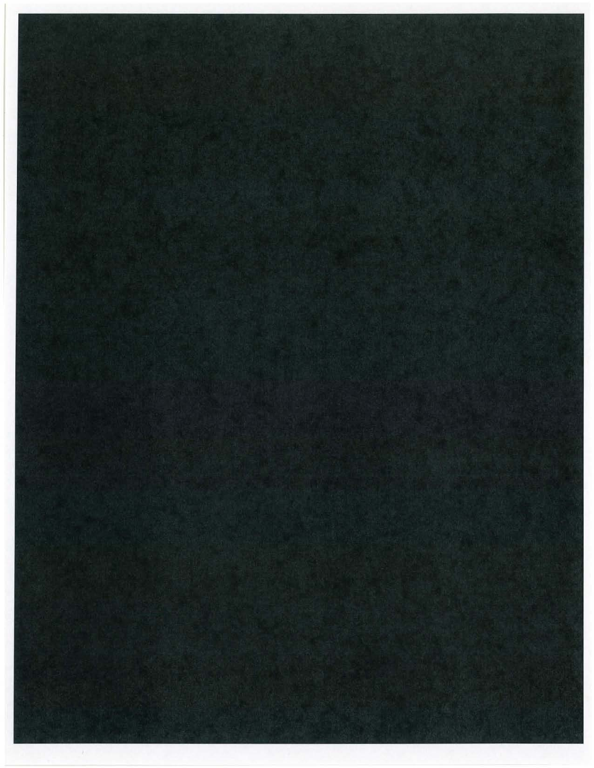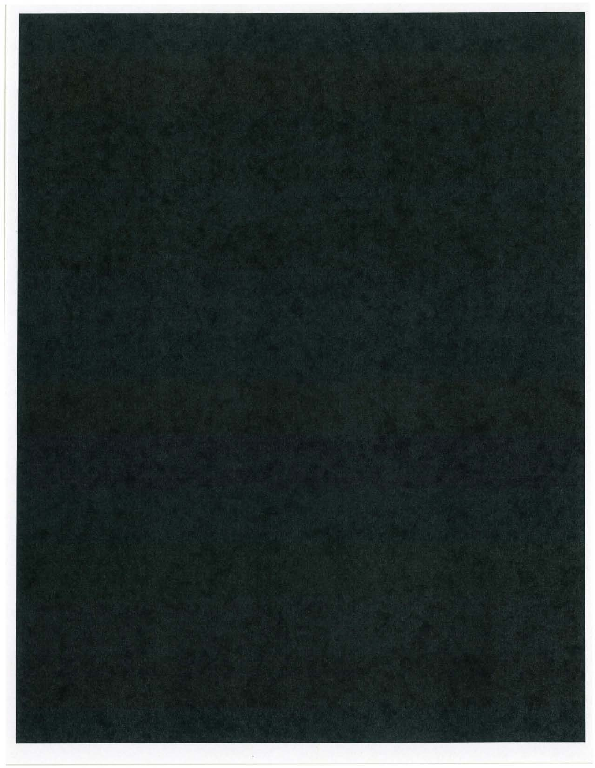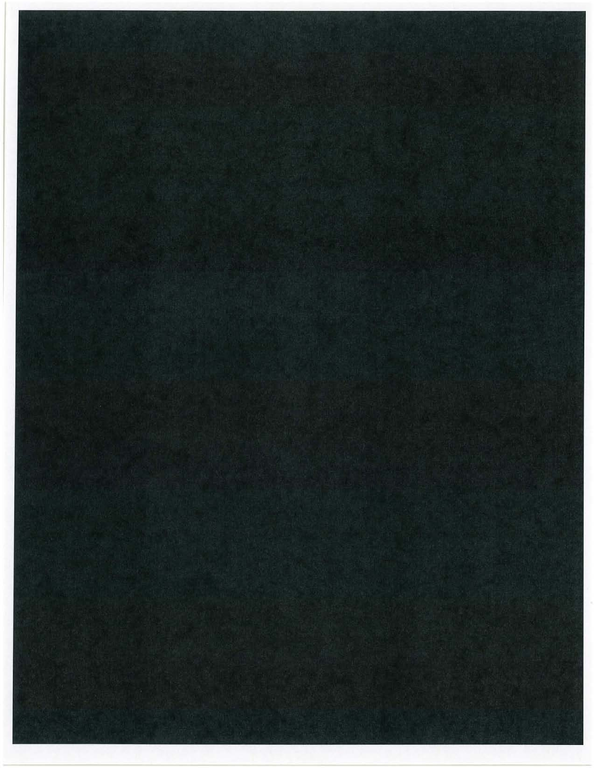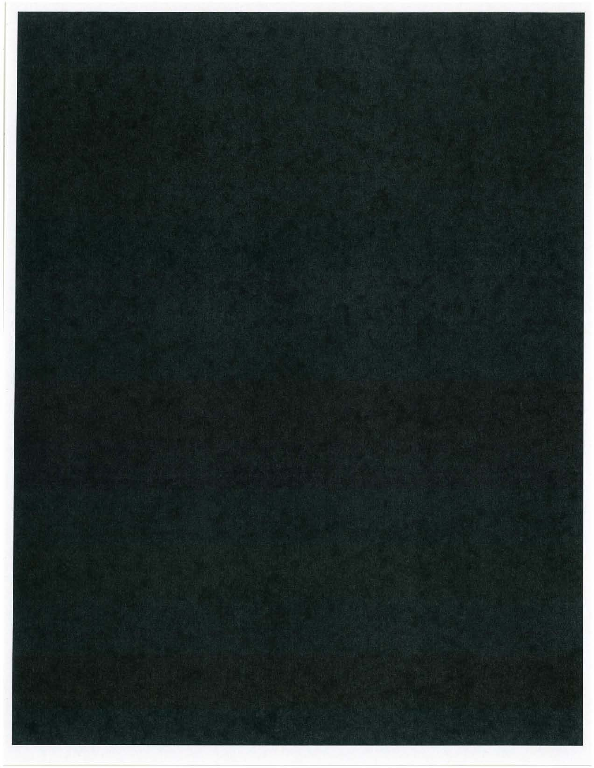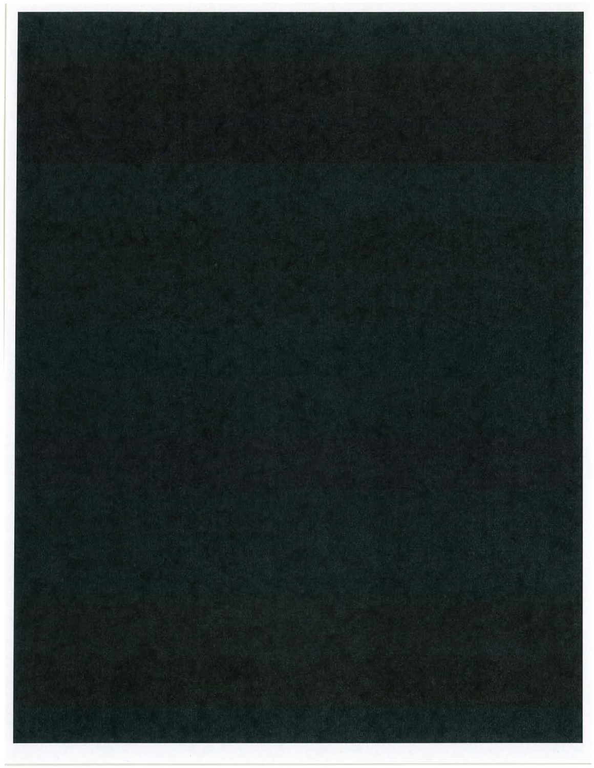